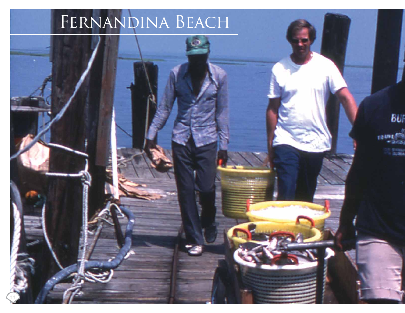# FERNANDINA BEACH



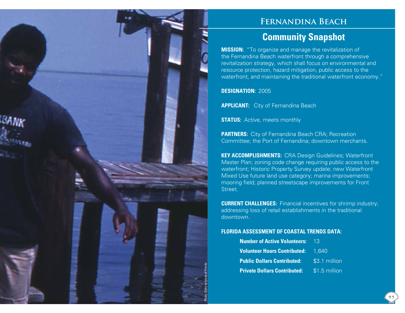### **Fernandina Beach**

## **Community Snapshot**

**MISSION:** "To organize and manage the revitalization of the Fernandina Beach waterfront through a comprehensive revitalization strategy, which shall focus on environmental and resource protection, hazard mitigation, public access to the waterfront, and maintaining the traditional waterfront economy."

**DESIGNATION:** 2005

Photo: State Archives of Florida

**APPLICANT:** City of Fernandina Beach

**STATUS:** Active, meets monthly

**PARTNERS:** City of Fernandina Beach CRA; Recreation Committee; the Port of Fernandina; downtown merchants.

**KEY ACCOMPLISHMENTS:** CRA Design Guidelines; Waterfront Master Plan; zoning code change requiring public access to the waterfront; Historic Property Survey update; new Waterfront Mixed Use future land use category; marina improvements; mooring field; planned streetscape improvements for Front Street.

**CURRENT CHALLENGES:** Financial incentives for shrimp industry; addressing loss of retail establishments in the traditional downtown.

#### **FLORIDA ASSESSMENT OF COASTAL TRENDS DATA:**

| <b>Number of Active Volunteers:</b>       | - 13          |
|-------------------------------------------|---------------|
| <b>Volunteer Hours Contributed: 1,640</b> |               |
| <b>Public Dollars Contributed:</b>        | \$3.1 million |
| <b>Private Dollars Contributed:</b>       | \$1.5 million |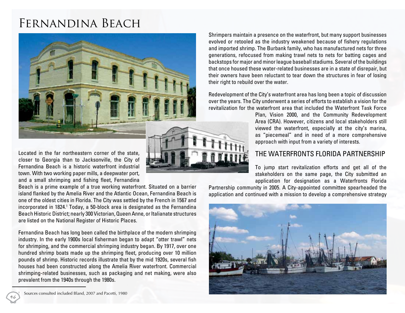# Fernandina Beach



Located in the far northeastern corner of the state, closer to Georgia than to Jacksonville, the City of Fernandina Beach is a historic waterfront industrial town. With two working paper mills, a deepwater port, and a small shrimping and fishing fleet, Fernandina

Beach is a prime example of a true working waterfront. Situated on a barrier island flanked by the Amelia River and the Atlantic Ocean, Fernandina Beach is one of the oldest cities in Florida. The City was settled by the French in 1567 and incorporated in 1824.1 Today, a 50-block area is designated as the Fernandina Beach Historic District; nearly 300 Victorian, Queen Anne, or Italianate structures are listed on the National Register of Historic Places.

Fernandina Beach has long been called the birthplace of the modern shrimping industry. In the early 1900s local fisherman began to adapt "otter trawl" nets for shrimping, and the commercial shrimping industry began. By 1917, over one hundred shrimp boats made up the shrimping fleet, producing over 10 million pounds of shrimp. Historic records illustrate that by the mid 1920s, several fish houses had been constructed along the Amelia River waterfront. Commercial shrimping-related businesses, such as packaging and net making, were also prevalent from the 1940s through the 1980s.

Shrimpers maintain a presence on the waterfront, but many support businesses evolved or retooled as the industry weakened because of fishery regulations and imported shrimp. The Burbank family, who has manufactured nets for three generations, refocused from making trawl nets to nets for batting cages and backstops for major and minor league baseball stadiums. Several of the buildings that once housed these water-related businesses are in a state of disrepair, but their owners have been reluctant to tear down the structures in fear of losing their right to rebuild over the water.

Redevelopment of the City's waterfront area has long been a topic of discussion over the years. The City underwent a series of efforts to establish a vision for the revitalization for the waterfront area that included the Waterfront Task Force

> Plan, Vision 2000, and the Community Redevelopment Area (CRA). However, citizens and local stakeholders still viewed the waterfront, especially at the city's marina, as "piecemeal" and in need of a more comprehensive approach with input from a variety of interests.

#### The Waterfronts Florida Partnership

To jump start revitalization efforts and get all of the stakeholders on the same page, the City submitted an application for designation as a Waterfronts Florida

Partnership community in 2005. A City-appointed committee spearheaded the application and continued with a mission to develop a comprehensive strategy



<sup>1</sup> Sources consulted included Bland, 2007 and Pacetti, 1980